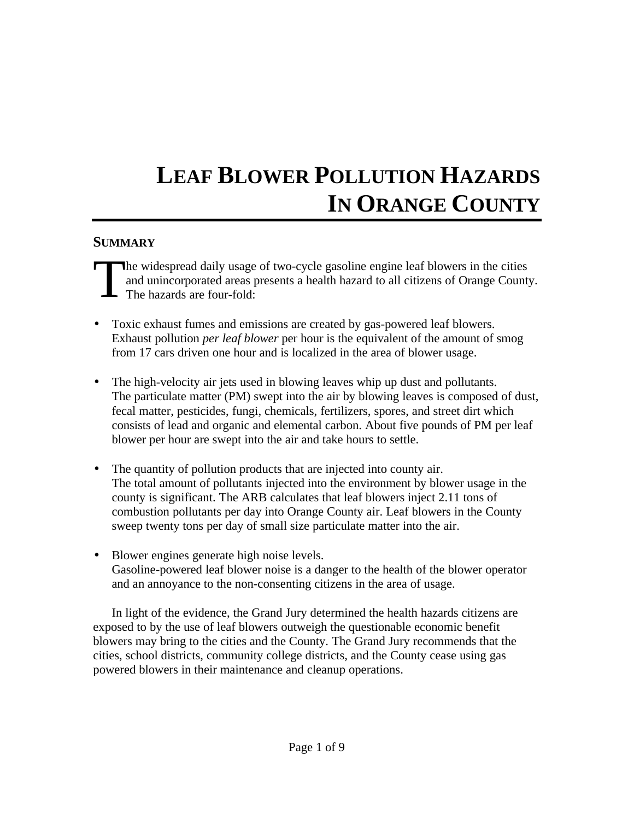# **LEAF BLOWER POLLUTION HAZARDS IN ORANGE COUNTY**

#### **SUMMARY**

he widespread daily usage of two-cycle gasoline engine leaf blowers in the cities and unincorporated areas presents a health hazard to all citizens of Orange County. The hazards are four-fold: T

- Toxic exhaust fumes and emissions are created by gas-powered leaf blowers. Exhaust pollution *per leaf blower* per hour is the equivalent of the amount of smog from 17 cars driven one hour and is localized in the area of blower usage.
- The high-velocity air jets used in blowing leaves whip up dust and pollutants. The particulate matter (PM) swept into the air by blowing leaves is composed of dust, fecal matter, pesticides, fungi, chemicals, fertilizers, spores, and street dirt which consists of lead and organic and elemental carbon. About five pounds of PM per leaf blower per hour are swept into the air and take hours to settle.
- The quantity of pollution products that are injected into county air. The total amount of pollutants injected into the environment by blower usage in the county is significant. The ARB calculates that leaf blowers inject 2.11 tons of combustion pollutants per day into Orange County air. Leaf blowers in the County sweep twenty tons per day of small size particulate matter into the air.
- Blower engines generate high noise levels. Gasoline-powered leaf blower noise is a danger to the health of the blower operator and an annoyance to the non-consenting citizens in the area of usage.

In light of the evidence, the Grand Jury determined the health hazards citizens are exposed to by the use of leaf blowers outweigh the questionable economic benefit blowers may bring to the cities and the County. The Grand Jury recommends that the cities, school districts, community college districts, and the County cease using gas powered blowers in their maintenance and cleanup operations.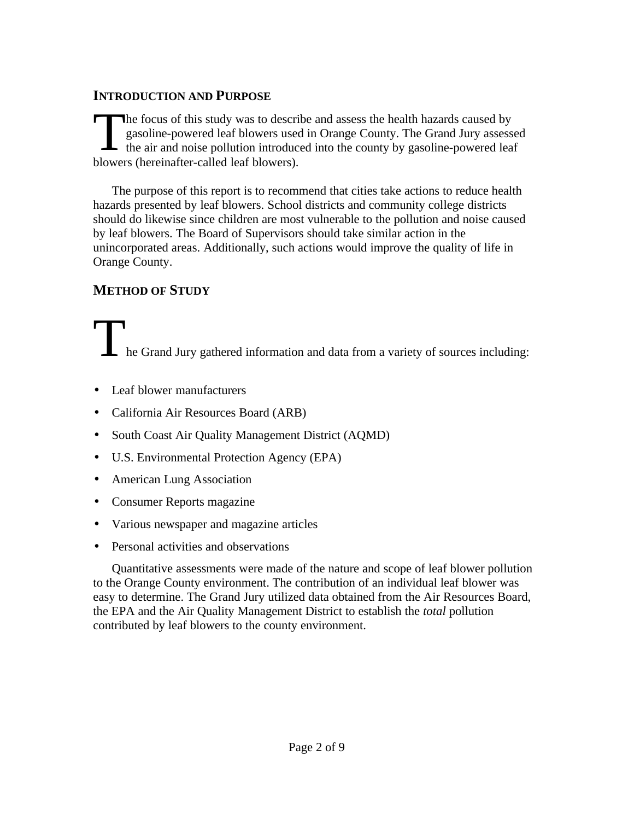#### **INTRODUCTION AND PURPOSE**

he focus of this study was to describe and assess the health hazards caused by gasoline-powered leaf blowers used in Orange County. The Grand Jury assessed The focus of this study was to describe and assess the health hazards caused by gasoline-powered leaf blowers used in Orange County. The Grand Jury assesses the air and noise pollution introduced into the county by gasolin blowers (hereinafter-called leaf blowers).

The purpose of this report is to recommend that cities take actions to reduce health hazards presented by leaf blowers. School districts and community college districts should do likewise since children are most vulnerable to the pollution and noise caused by leaf blowers. The Board of Supervisors should take similar action in the unincorporated areas. Additionally, such actions would improve the quality of life in Orange County.

### **METHOD OF STUDY**

# The Grand Jury gathered information and data from a variety of sources including:

- Leaf blower manufacturers
- California Air Resources Board (ARB)
- South Coast Air Quality Management District (AQMD)
- U.S. Environmental Protection Agency (EPA)
- American Lung Association
- Consumer Reports magazine
- Various newspaper and magazine articles
- Personal activities and observations

Quantitative assessments were made of the nature and scope of leaf blower pollution to the Orange County environment. The contribution of an individual leaf blower was easy to determine. The Grand Jury utilized data obtained from the Air Resources Board, the EPA and the Air Quality Management District to establish the *total* pollution contributed by leaf blowers to the county environment.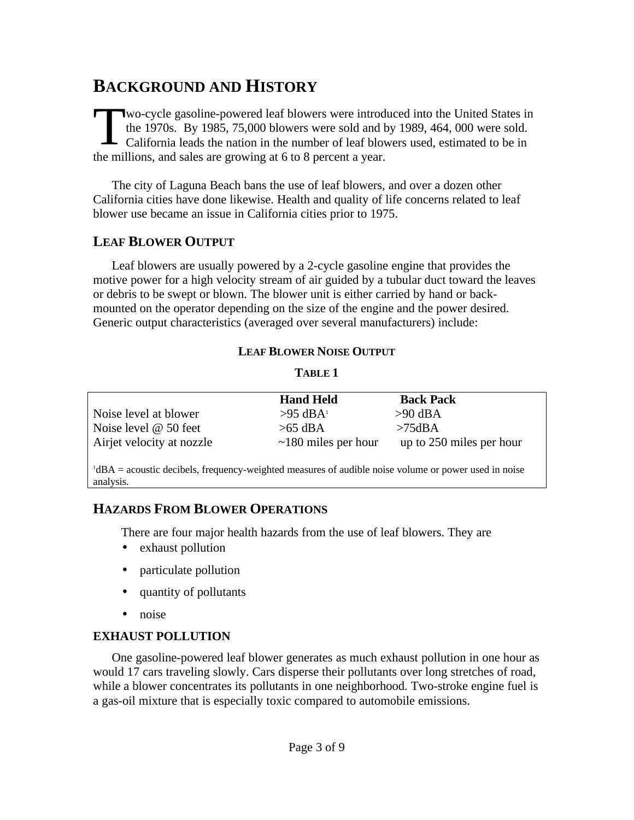# **BACKGROUND AND HISTORY**

wo-cycle gasoline-powered leaf blowers were introduced into the United States in the 1970s. By 1985, 75,000 blowers were sold and by 1989, 464, 000 were sold. California leads the nation in the number of leaf blowers used, estimated to be in Wo-cycle gasoline-powered leaf blowers were introd<br>the 1970s. By 1985, 75,000 blowers were sold and l<br>California leads the nation in the number of leaf blow<br>the millions, and sales are growing at 6 to 8 percent a year.

The city of Laguna Beach bans the use of leaf blowers, and over a dozen other California cities have done likewise. Health and quality of life concerns related to leaf blower use became an issue in California cities prior to 1975.

#### **LEAF BLOWER OUTPUT**

Leaf blowers are usually powered by a 2-cycle gasoline engine that provides the motive power for a high velocity stream of air guided by a tubular duct toward the leaves or debris to be swept or blown. The blower unit is either carried by hand or backmounted on the operator depending on the size of the engine and the power desired. Generic output characteristics (averaged over several manufacturers) include:

#### **LEAF BLOWER NOISE OUTPUT**

#### **TABLE 1**

|                           | <b>Hand Held</b>          | <b>Back Pack</b>         |
|---------------------------|---------------------------|--------------------------|
| Noise level at blower     | $>95 \text{ dBA}$         | $>90$ dBA                |
| Noise level $@$ 50 feet   | $>65$ dBA                 | $>75$ dBA                |
| Airjet velocity at nozzle | $\sim$ 180 miles per hour | up to 250 miles per hour |

<sup>1</sup>dBA = acoustic decibels, frequency-weighted measures of audible noise volume or power used in noise analysis.

#### **HAZARDS FROM BLOWER OPERATIONS**

There are four major health hazards from the use of leaf blowers. They are

- exhaust pollution
- particulate pollution
- quantity of pollutants
- noise

#### **EXHAUST POLLUTION**

One gasoline-powered leaf blower generates as much exhaust pollution in one hour as would 17 cars traveling slowly. Cars disperse their pollutants over long stretches of road, while a blower concentrates its pollutants in one neighborhood. Two-stroke engine fuel is a gas-oil mixture that is especially toxic compared to automobile emissions.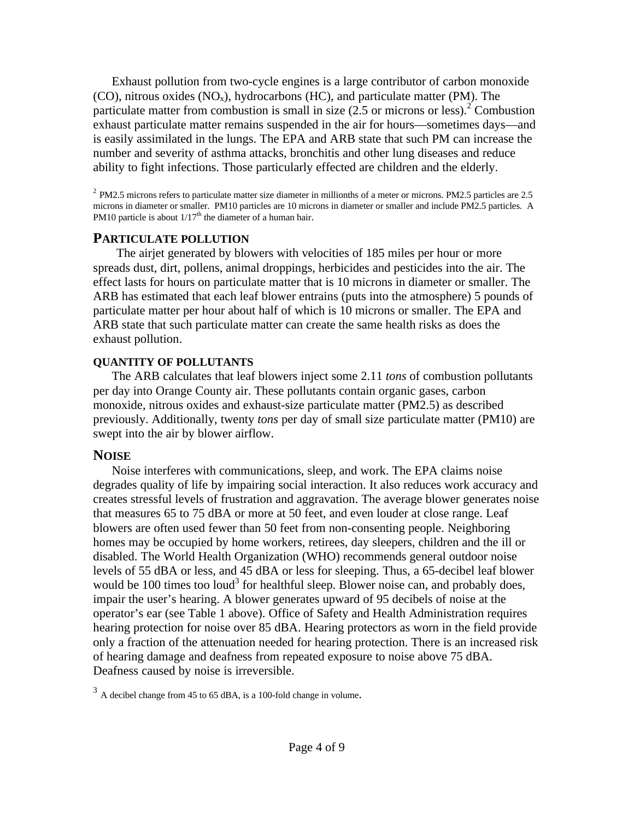Exhaust pollution from two-cycle engines is a large contributor of carbon monoxide  $(CO)$ , nitrous oxides  $(NO_x)$ , hydrocarbons  $(HC)$ , and particulate matter  $(PM)$ . The particulate matter from combustion is small in size  $(2.5 \text{ or microns or less})^2$  Combustion exhaust particulate matter remains suspended in the air for hours—sometimes days—and is easily assimilated in the lungs. The EPA and ARB state that such PM can increase the number and severity of asthma attacks, bronchitis and other lung diseases and reduce ability to fight infections. Those particularly effected are children and the elderly.

 $2$  PM2.5 microns refers to particulate matter size diameter in millionths of a meter or microns. PM2.5 particles are 2.5 microns in diameter or smaller. PM10 particles are 10 microns in diameter or smaller and include PM2.5 particles. A PM10 particle is about  $1/17<sup>th</sup>$  the diameter of a human hair.

#### **PARTICULATE POLLUTION**

The airjet generated by blowers with velocities of 185 miles per hour or more spreads dust, dirt, pollens, animal droppings, herbicides and pesticides into the air. The effect lasts for hours on particulate matter that is 10 microns in diameter or smaller. The ARB has estimated that each leaf blower entrains (puts into the atmosphere) 5 pounds of particulate matter per hour about half of which is 10 microns or smaller. The EPA and ARB state that such particulate matter can create the same health risks as does the exhaust pollution.

#### **QUANTITY OF POLLUTANTS**

The ARB calculates that leaf blowers inject some 2.11 *tons* of combustion pollutants per day into Orange County air. These pollutants contain organic gases, carbon monoxide, nitrous oxides and exhaust-size particulate matter (PM2.5) as described previously. Additionally, twenty *tons* per day of small size particulate matter (PM10) are swept into the air by blower airflow.

#### **NOISE**

Noise interferes with communications, sleep, and work. The EPA claims noise degrades quality of life by impairing social interaction. It also reduces work accuracy and creates stressful levels of frustration and aggravation. The average blower generates noise that measures 65 to 75 dBA or more at 50 feet, and even louder at close range. Leaf blowers are often used fewer than 50 feet from non-consenting people. Neighboring homes may be occupied by home workers, retirees, day sleepers, children and the ill or disabled. The World Health Organization (WHO) recommends general outdoor noise levels of 55 dBA or less, and 45 dBA or less for sleeping. Thus, a 65-decibel leaf blower would be 100 times too loud<sup>3</sup> for healthful sleep. Blower noise can, and probably does, impair the user's hearing. A blower generates upward of 95 decibels of noise at the operator's ear (see Table 1 above). Office of Safety and Health Administration requires hearing protection for noise over 85 dBA. Hearing protectors as worn in the field provide only a fraction of the attenuation needed for hearing protection. There is an increased risk of hearing damage and deafness from repeated exposure to noise above 75 dBA. Deafness caused by noise is irreversible.

 $3 \text{ A decibel change from } 45 \text{ to } 65 \text{ dBA, is a } 100 \text{-fold change in volume.}$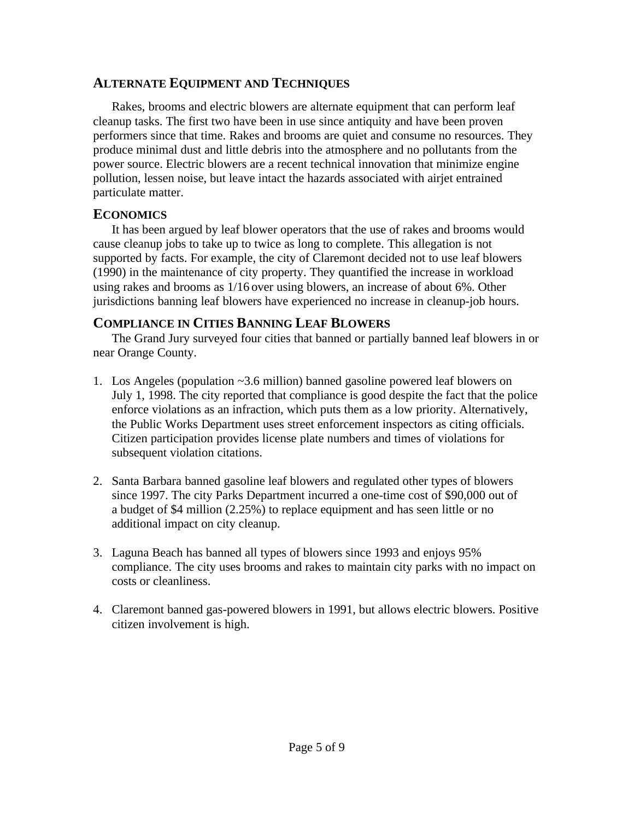#### **ALTERNATE EQUIPMENT AND TECHNIQUES**

Rakes, brooms and electric blowers are alternate equipment that can perform leaf cleanup tasks. The first two have been in use since antiquity and have been proven performers since that time. Rakes and brooms are quiet and consume no resources. They produce minimal dust and little debris into the atmosphere and no pollutants from the power source. Electric blowers are a recent technical innovation that minimize engine pollution, lessen noise, but leave intact the hazards associated with airjet entrained particulate matter.

#### **ECONOMICS**

It has been argued by leaf blower operators that the use of rakes and brooms would cause cleanup jobs to take up to twice as long to complete. This allegation is not supported by facts. For example, the city of Claremont decided not to use leaf blowers (1990) in the maintenance of city property. They quantified the increase in workload using rakes and brooms as 1/16 over using blowers, an increase of about 6%. Other jurisdictions banning leaf blowers have experienced no increase in cleanup-job hours.

#### **COMPLIANCE IN CITIES BANNING LEAF BLOWERS**

The Grand Jury surveyed four cities that banned or partially banned leaf blowers in or near Orange County.

- 1. Los Angeles (population ~3.6 million) banned gasoline powered leaf blowers on July 1, 1998. The city reported that compliance is good despite the fact that the police enforce violations as an infraction, which puts them as a low priority. Alternatively, the Public Works Department uses street enforcement inspectors as citing officials. Citizen participation provides license plate numbers and times of violations for subsequent violation citations.
- 2. Santa Barbara banned gasoline leaf blowers and regulated other types of blowers since 1997. The city Parks Department incurred a one-time cost of \$90,000 out of a budget of \$4 million (2.25%) to replace equipment and has seen little or no additional impact on city cleanup.
- 3. Laguna Beach has banned all types of blowers since 1993 and enjoys 95% compliance. The city uses brooms and rakes to maintain city parks with no impact on costs or cleanliness.
- 4. Claremont banned gas-powered blowers in 1991, but allows electric blowers. Positive citizen involvement is high.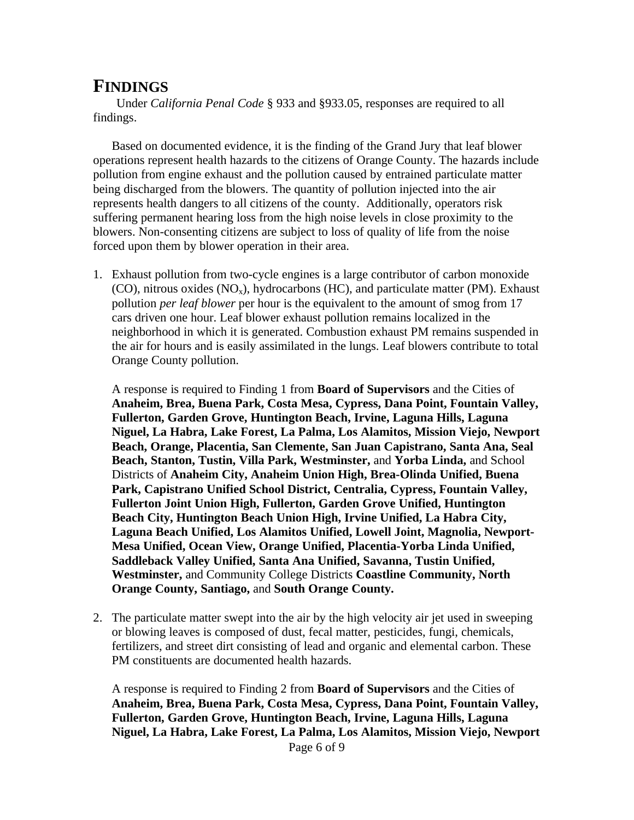## **FINDINGS**

Under *California Penal Code* § 933 and §933.05, responses are required to all findings.

Based on documented evidence, it is the finding of the Grand Jury that leaf blower operations represent health hazards to the citizens of Orange County. The hazards include pollution from engine exhaust and the pollution caused by entrained particulate matter being discharged from the blowers. The quantity of pollution injected into the air represents health dangers to all citizens of the county. Additionally, operators risk suffering permanent hearing loss from the high noise levels in close proximity to the blowers. Non-consenting citizens are subject to loss of quality of life from the noise forced upon them by blower operation in their area.

1. Exhaust pollution from two-cycle engines is a large contributor of carbon monoxide (CO), nitrous oxides ( $NO<sub>x</sub>$ ), hydrocarbons (HC), and particulate matter (PM). Exhaust pollution *per leaf blower* per hour is the equivalent to the amount of smog from 17 cars driven one hour. Leaf blower exhaust pollution remains localized in the neighborhood in which it is generated. Combustion exhaust PM remains suspended in the air for hours and is easily assimilated in the lungs. Leaf blowers contribute to total Orange County pollution.

A response is required to Finding 1 from **Board of Supervisors** and the Cities of **Anaheim, Brea, Buena Park, Costa Mesa, Cypress, Dana Point, Fountain Valley, Fullerton, Garden Grove, Huntington Beach, Irvine, Laguna Hills, Laguna Niguel, La Habra, Lake Forest, La Palma, Los Alamitos, Mission Viejo, Newport Beach, Orange, Placentia, San Clemente, San Juan Capistrano, Santa Ana, Seal Beach, Stanton, Tustin, Villa Park, Westminster,** and **Yorba Linda,** and School Districts of **Anaheim City, Anaheim Union High, Brea-Olinda Unified, Buena Park, Capistrano Unified School District, Centralia, Cypress, Fountain Valley, Fullerton Joint Union High, Fullerton, Garden Grove Unified, Huntington Beach City, Huntington Beach Union High, Irvine Unified, La Habra City, Laguna Beach Unified, Los Alamitos Unified, Lowell Joint, Magnolia, Newport-Mesa Unified, Ocean View, Orange Unified, Placentia-Yorba Linda Unified, Saddleback Valley Unified, Santa Ana Unified, Savanna, Tustin Unified, Westminster,** and Community College Districts **Coastline Community, North Orange County, Santiago,** and **South Orange County.**

2. The particulate matter swept into the air by the high velocity air jet used in sweeping or blowing leaves is composed of dust, fecal matter, pesticides, fungi, chemicals, fertilizers, and street dirt consisting of lead and organic and elemental carbon. These PM constituents are documented health hazards.

Page 6 of 9 A response is required to Finding 2 from **Board of Supervisors** and the Cities of **Anaheim, Brea, Buena Park, Costa Mesa, Cypress, Dana Point, Fountain Valley, Fullerton, Garden Grove, Huntington Beach, Irvine, Laguna Hills, Laguna Niguel, La Habra, Lake Forest, La Palma, Los Alamitos, Mission Viejo, Newport**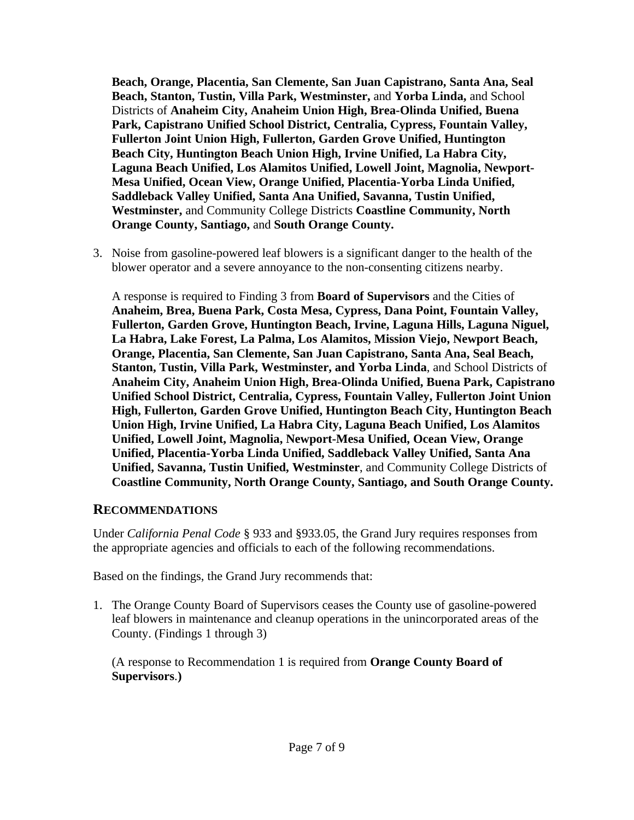**Beach, Orange, Placentia, San Clemente, San Juan Capistrano, Santa Ana, Seal Beach, Stanton, Tustin, Villa Park, Westminster,** and **Yorba Linda,** and School Districts of **Anaheim City, Anaheim Union High, Brea-Olinda Unified, Buena Park, Capistrano Unified School District, Centralia, Cypress, Fountain Valley, Fullerton Joint Union High, Fullerton, Garden Grove Unified, Huntington Beach City, Huntington Beach Union High, Irvine Unified, La Habra City, Laguna Beach Unified, Los Alamitos Unified, Lowell Joint, Magnolia, Newport-Mesa Unified, Ocean View, Orange Unified, Placentia-Yorba Linda Unified, Saddleback Valley Unified, Santa Ana Unified, Savanna, Tustin Unified, Westminster,** and Community College Districts **Coastline Community, North Orange County, Santiago,** and **South Orange County.**

3. Noise from gasoline-powered leaf blowers is a significant danger to the health of the blower operator and a severe annoyance to the non-consenting citizens nearby.

A response is required to Finding 3 from **Board of Supervisors** and the Cities of **Anaheim, Brea, Buena Park, Costa Mesa, Cypress, Dana Point, Fountain Valley, Fullerton, Garden Grove, Huntington Beach, Irvine, Laguna Hills, Laguna Niguel, La Habra, Lake Forest, La Palma, Los Alamitos, Mission Viejo, Newport Beach, Orange, Placentia, San Clemente, San Juan Capistrano, Santa Ana, Seal Beach, Stanton, Tustin, Villa Park, Westminster, and Yorba Linda**, and School Districts of **Anaheim City, Anaheim Union High, Brea-Olinda Unified, Buena Park, Capistrano Unified School District, Centralia, Cypress, Fountain Valley, Fullerton Joint Union High, Fullerton, Garden Grove Unified, Huntington Beach City, Huntington Beach Union High, Irvine Unified, La Habra City, Laguna Beach Unified, Los Alamitos Unified, Lowell Joint, Magnolia, Newport-Mesa Unified, Ocean View, Orange Unified, Placentia-Yorba Linda Unified, Saddleback Valley Unified, Santa Ana Unified, Savanna, Tustin Unified, Westminster**, and Community College Districts of **Coastline Community, North Orange County, Santiago, and South Orange County.**

#### **RECOMMENDATIONS**

Under *California Penal Code* § 933 and §933.05, the Grand Jury requires responses from the appropriate agencies and officials to each of the following recommendations.

Based on the findings, the Grand Jury recommends that:

1. The Orange County Board of Supervisors ceases the County use of gasoline-powered leaf blowers in maintenance and cleanup operations in the unincorporated areas of the County. (Findings 1 through 3)

(A response to Recommendation 1 is required from **Orange County Board of Supervisors**.**)**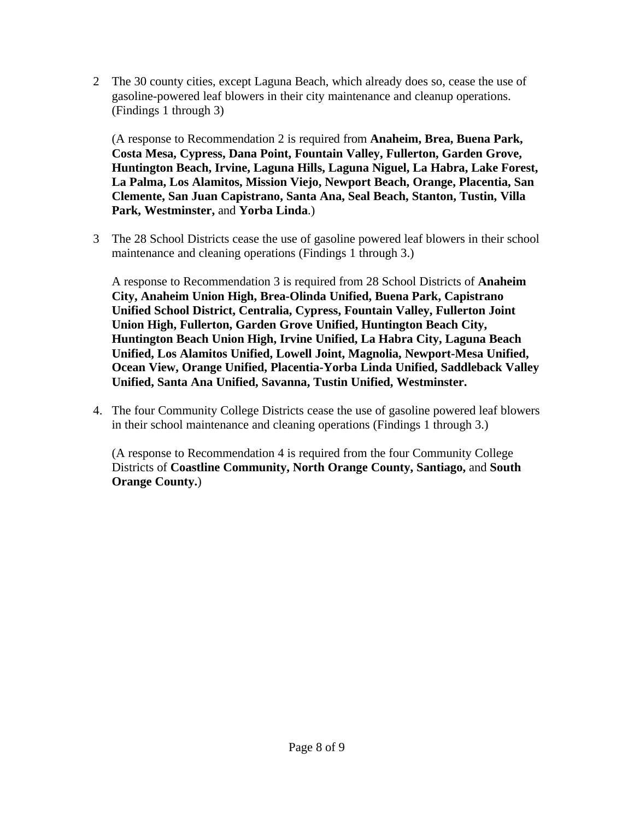2 The 30 county cities, except Laguna Beach, which already does so, cease the use of gasoline-powered leaf blowers in their city maintenance and cleanup operations. (Findings 1 through 3)

(A response to Recommendation 2 is required from **Anaheim, Brea, Buena Park, Costa Mesa, Cypress, Dana Point, Fountain Valley, Fullerton, Garden Grove, Huntington Beach, Irvine, Laguna Hills, Laguna Niguel, La Habra, Lake Forest, La Palma, Los Alamitos, Mission Viejo, Newport Beach, Orange, Placentia, San Clemente, San Juan Capistrano, Santa Ana, Seal Beach, Stanton, Tustin, Villa Park, Westminster,** and **Yorba Linda**.)

3 The 28 School Districts cease the use of gasoline powered leaf blowers in their school maintenance and cleaning operations (Findings 1 through 3.)

A response to Recommendation 3 is required from 28 School Districts of **Anaheim City, Anaheim Union High, Brea-Olinda Unified, Buena Park, Capistrano Unified School District, Centralia, Cypress, Fountain Valley, Fullerton Joint Union High, Fullerton, Garden Grove Unified, Huntington Beach City, Huntington Beach Union High, Irvine Unified, La Habra City, Laguna Beach Unified, Los Alamitos Unified, Lowell Joint, Magnolia, Newport-Mesa Unified, Ocean View, Orange Unified, Placentia-Yorba Linda Unified, Saddleback Valley Unified, Santa Ana Unified, Savanna, Tustin Unified, Westminster.**

4. The four Community College Districts cease the use of gasoline powered leaf blowers in their school maintenance and cleaning operations (Findings 1 through 3.)

(A response to Recommendation 4 is required from the four Community College Districts of **Coastline Community, North Orange County, Santiago,** and **South Orange County.**)